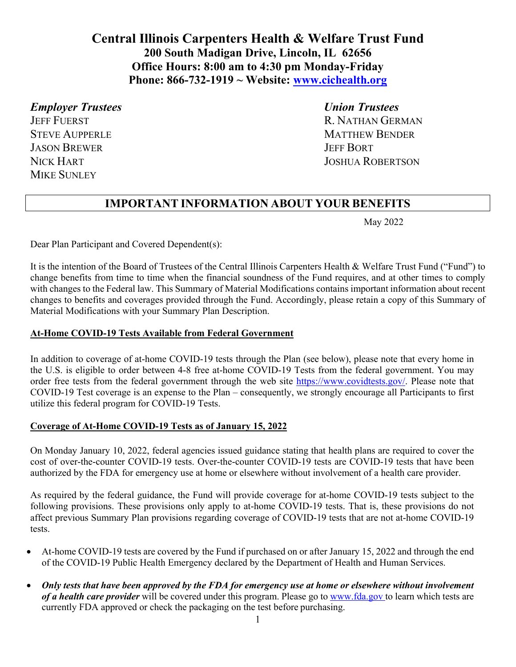# **Central Illinois Carpenters Health & Welfare Trust Fund 200 South Madigan Drive, Lincoln, IL 62656 Office Hours: 8:00 am to 4:30 pm Monday-Friday Phone: 866-732-1919 ~ Website: www.cichealth.org**

## *Employer Trustees Union Trustees*

**JASON BREWER JEFF BORT** MIKE SUNLEY

JEFF FUERST R. NATHAN GERMAN STEVE AUPPERLE MATTHEW BENDER NICK HART JOSHUA ROBERTSON

## **IMPORTANT INFORMATION ABOUT YOUR BENEFITS**

May 2022

Dear Plan Participant and Covered Dependent(s):

It is the intention of the Board of Trustees of the Central Illinois Carpenters Health & Welfare Trust Fund ("Fund") to change benefits from time to time when the financial soundness of the Fund requires, and at other times to comply with changes to the Federal law. This Summary of Material Modifications contains important information about recent changes to benefits and coverages provided through the Fund. Accordingly, please retain a copy of this Summary of Material Modifications with your Summary Plan Description.

### **At-Home COVID-19 Tests Available from Federal Government**

In addition to coverage of at-home COVID-19 tests through the Plan (see below), please note that every home in the U.S. is eligible to order between 4-8 free at-home COVID-19 Tests from the federal government. You may order free tests from the federal government through the web site https://www.covidtests.gov/. Please note that COVID-19 Test coverage is an expense to the Plan – consequently, we strongly encourage all Participants to first utilize this federal program for COVID-19 Tests.

### **Coverage of At-Home COVID-19 Tests as of January 15, 2022**

On Monday January 10, 2022, federal agencies issued guidance stating that health plans are required to cover the cost of over-the-counter COVID-19 tests. Over-the-counter COVID-19 tests are COVID-19 tests that have been authorized by the FDA for emergency use at home or elsewhere without involvement of a health care provider.

As required by the federal guidance, the Fund will provide coverage for at-home COVID-19 tests subject to the following provisions. These provisions only apply to at-home COVID-19 tests. That is, these provisions do not affect previous Summary Plan provisions regarding coverage of COVID-19 tests that are not at-home COVID-19 tests.

- At-home COVID-19 tests are covered by the Fund if purchased on or after January 15, 2022 and through the end of the COVID-19 Public Health Emergency declared by the Department of Health and Human Services.
- *Only tests that have been approved by the FDA for emergency use at home or elsewhere without involvement of a health care provider* will be covered under this program. Please go to www.fda.gov to learn which tests are currently FDA approved or check the packaging on the test before purchasing.